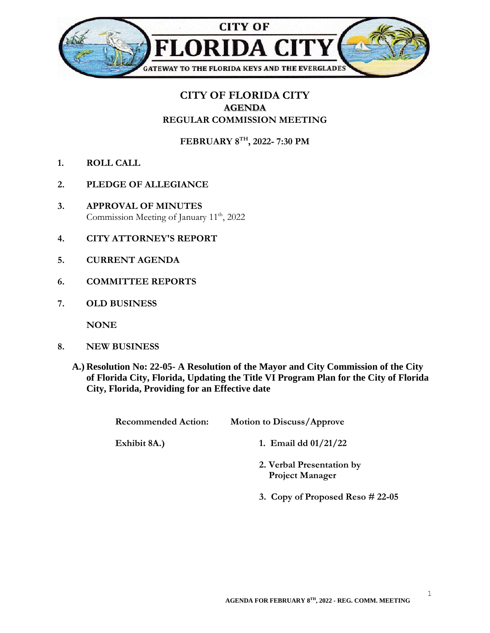

## **CITY OF FLORIDA CITY AGENDA REGULAR COMMISSION MEETING**

**FEBRUARY 8TH, 2022- 7:30 PM**

- **1. ROLL CALL**
- **2. PLEDGE OF ALLEGIANCE**
- **3. APPROVAL OF MINUTES** Commission Meeting of January 11<sup>th</sup>, 2022
- **4. CITY ATTORNEY'S REPORT**
- **5. CURRENT AGENDA**
- **6. COMMITTEE REPORTS**
- **7. OLD BUSINESS**

**NONE**

- **8. NEW BUSINESS**
	- **A.) Resolution No: 22-05- A Resolution of the Mayor and City Commission of the City of Florida City, Florida, Updating the Title VI Program Plan for the City of Florida City, Florida, Providing for an Effective date**

| <b>Recommended Action:</b> | <b>Motion to Discuss/Approve</b>                    |
|----------------------------|-----------------------------------------------------|
| Exhibit 8A.)               | 1. Email dd $01/21/22$                              |
|                            | 2. Verbal Presentation by<br><b>Project Manager</b> |
|                            | 3. Copy of Proposed Reso $\#$ 22-05                 |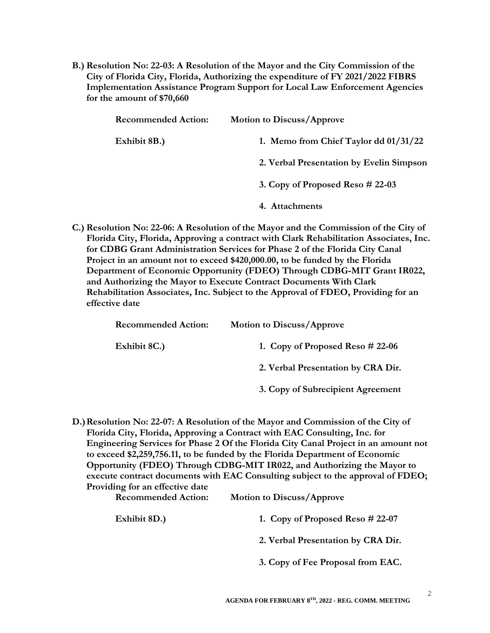**B.) Resolution No: 22-03: A Resolution of the Mayor and the City Commission of the City of Florida City, Florida, Authorizing the expenditure of FY 2021/2022 FIBRS Implementation Assistance Program Support for Local Law Enforcement Agencies for the amount of \$70,660**

| <b>Recommended Action:</b> | <b>Motion to Discuss/Approve</b>         |
|----------------------------|------------------------------------------|
| Exhibit 8B.)               | 1. Memo from Chief Taylor dd $01/31/22$  |
|                            | 2. Verbal Presentation by Evelin Simpson |
|                            | 3. Copy of Proposed Reso $\#$ 22-03      |
|                            | 4. Attachments                           |

**C.) Resolution No: 22-06: A Resolution of the Mayor and the Commission of the City of Florida City, Florida, Approving a contract with Clark Rehabilitation Associates, Inc. for CDBG Grant Administration Services for Phase 2 of the Florida City Canal Project in an amount not to exceed \$420,000.00, to be funded by the Florida Department of Economic Opportunity (FDEO) Through CDBG-MIT Grant IR022, and Authorizing the Mayor to Execute Contract Documents With Clark Rehabilitation Associates, Inc. Subject to the Approval of FDEO, Providing for an effective date** 

| <b>Recommended Action:</b> | <b>Motion to Discuss/Approve</b>    |
|----------------------------|-------------------------------------|
| Exhibit 8C.)               | 1. Copy of Proposed Reso $\#$ 22-06 |
|                            | 2. Verbal Presentation by CRA Dir.  |
|                            | 3. Copy of Subrecipient Agreement   |

**D.)Resolution No: 22-07: A Resolution of the Mayor and Commission of the City of Florida City, Florida, Approving a Contract with EAC Consulting, Inc. for Engineering Services for Phase 2 Of the Florida City Canal Project in an amount not to exceed \$2,259,756.11, to be funded by the Florida Department of Economic Opportunity (FDEO) Through CDBG-MIT IR022, and Authorizing the Mayor to execute contract documents with EAC Consulting subject to the approval of FDEO;** 

| execute contract documents with EAC Consulting subject to the approval of FDI<br>Providing for an effective date |                                     |  |
|------------------------------------------------------------------------------------------------------------------|-------------------------------------|--|
|                                                                                                                  |                                     |  |
| Exhibit 8D.)                                                                                                     | 1. Copy of Proposed Reso $\#$ 22-07 |  |
|                                                                                                                  | 2. Verbal Presentation by CRA Dir.  |  |
|                                                                                                                  | 3. Copy of Fee Proposal from EAC.   |  |